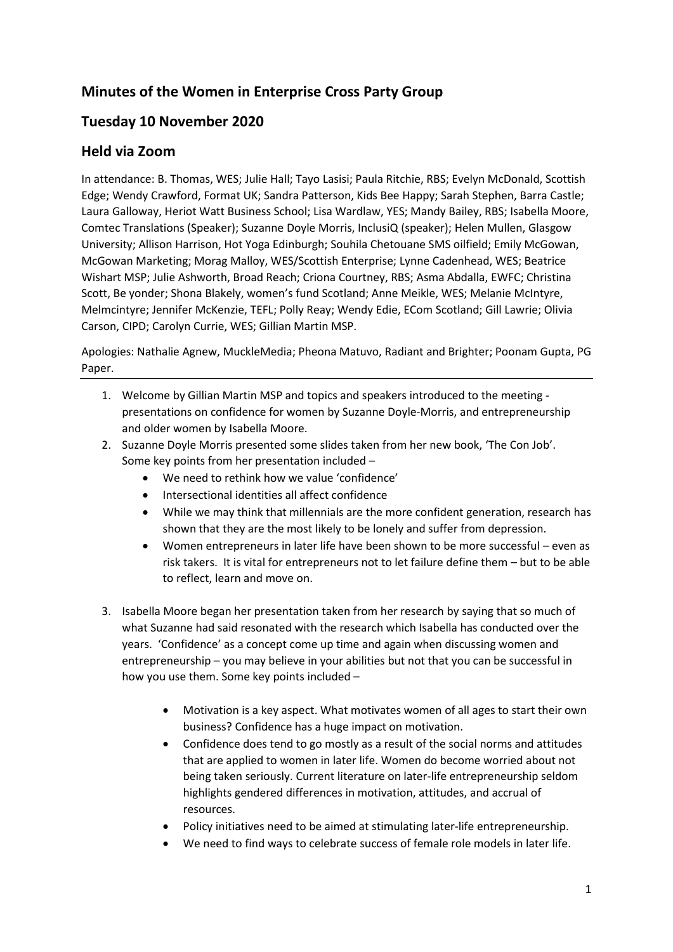# **Minutes of the Women in Enterprise Cross Party Group**

# **Tuesday 10 November 2020**

### **Held via Zoom**

In attendance: B. Thomas, WES; Julie Hall; Tayo Lasisi; Paula Ritchie, RBS; Evelyn McDonald, Scottish Edge; Wendy Crawford, Format UK; Sandra Patterson, Kids Bee Happy; Sarah Stephen, Barra Castle; Laura Galloway, Heriot Watt Business School; Lisa Wardlaw, YES; Mandy Bailey, RBS; Isabella Moore, Comtec Translations (Speaker); Suzanne Doyle Morris, InclusiQ (speaker); Helen Mullen, Glasgow University; Allison Harrison, Hot Yoga Edinburgh; Souhila Chetouane SMS oilfield; Emily McGowan, McGowan Marketing; Morag Malloy, WES/Scottish Enterprise; Lynne Cadenhead, WES; Beatrice Wishart MSP; Julie Ashworth, Broad Reach; Criona Courtney, RBS; Asma Abdalla, EWFC; Christina Scott, Be yonder; Shona Blakely, women's fund Scotland; Anne Meikle, WES; Melanie McIntyre, Melmcintyre; Jennifer McKenzie, TEFL; Polly Reay; Wendy Edie, ECom Scotland; Gill Lawrie; Olivia Carson, CIPD; Carolyn Currie, WES; Gillian Martin MSP.

Apologies: Nathalie Agnew, MuckleMedia; Pheona Matuvo, Radiant and Brighter; Poonam Gupta, PG Paper.

- 1. Welcome by Gillian Martin MSP and topics and speakers introduced to the meeting presentations on confidence for women by Suzanne Doyle-Morris, and entrepreneurship and older women by Isabella Moore.
- 2. Suzanne Doyle Morris presented some slides taken from her new book, 'The Con Job'. Some key points from her presentation included –
	- We need to rethink how we value 'confidence'
	- Intersectional identities all affect confidence
	- While we may think that millennials are the more confident generation, research has shown that they are the most likely to be lonely and suffer from depression.
	- Women entrepreneurs in later life have been shown to be more successful even as risk takers. It is vital for entrepreneurs not to let failure define them – but to be able to reflect, learn and move on.
- 3. Isabella Moore began her presentation taken from her research by saying that so much of what Suzanne had said resonated with the research which Isabella has conducted over the years. 'Confidence' as a concept come up time and again when discussing women and entrepreneurship – you may believe in your abilities but not that you can be successful in how you use them. Some key points included –
	- Motivation is a key aspect. What motivates women of all ages to start their own business? Confidence has a huge impact on motivation.
	- Confidence does tend to go mostly as a result of the social norms and attitudes that are applied to women in later life. Women do become worried about not being taken seriously. Current literature on later-life entrepreneurship seldom highlights gendered differences in motivation, attitudes, and accrual of resources.
	- Policy initiatives need to be aimed at stimulating later-life entrepreneurship.
	- We need to find ways to celebrate success of female role models in later life.